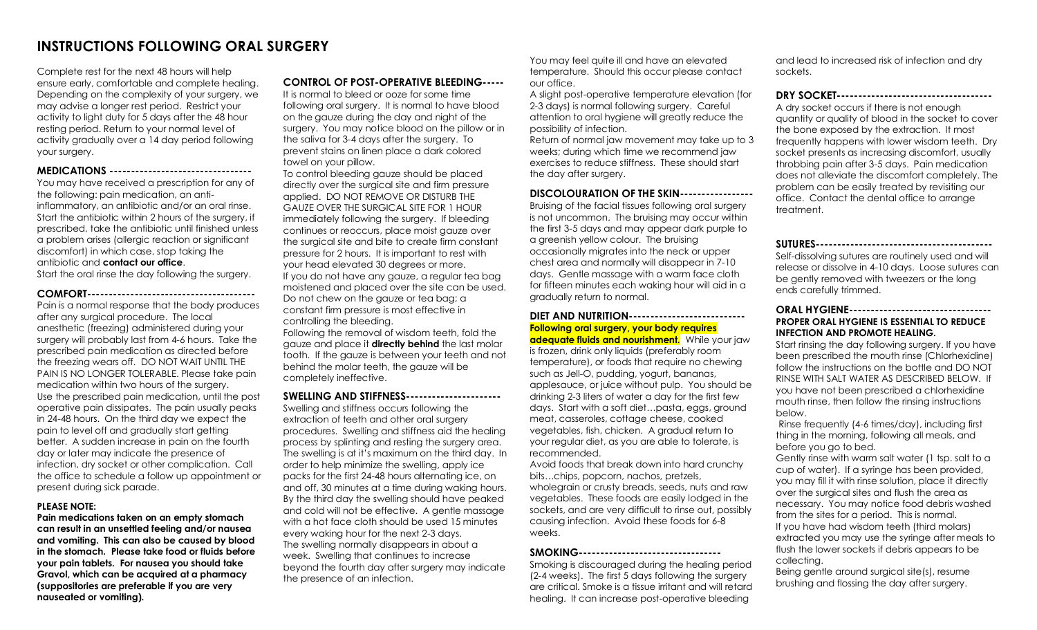# **INSTRUCTIONS FOLLOWING ORAL SURGERY**

Complete rest for the next 48 hours will help ensure early, comfortable and complete healing. Depending on the complexity of your surgery, we may advise a longer rest period. Restrict your activity to light duty for 5 days after the 48 hour resting period. Return to your normal level of activity gradually over a 14 day period following your surgery.

**MEDICATIONS ---------------------------------** You may have received a prescription for any of the following: pain medication, an antiinflammatory, an antibiotic and/or an oral rinse. Start the antibiotic within 2 hours of the surgery, if prescribed, take the antibiotic until finished unless a problem arises (allergic reaction or significant discomfort) in which case, stop taking the antibiotic and **contact our office**.

Start the oral rinse the day following the surgery.

**COMFORT---------------------------------------** Pain is a normal response that the body produces after any surgical procedure. The local anesthetic (freezing) administered during your surgery will probably last from 4-6 hours. Take the prescribed pain medication as directed before the freezing wears off. DO NOT WAIT UNTIL THE PAIN IS NO LONGER TOLERABLE. Please take pain medication within two hours of the surgery. Use the prescribed pain medication, until the post operative pain dissipates. The pain usually peaks in 24-48 hours. On the third day we expect the pain to level off and gradually start getting better. A sudden increase in pain on the fourth day or later may indicate the presence of infection, dry socket or other complication. Call the office to schedule a follow up appointment or present during sick parade.

#### **PLEASE NOTE:**

**Pain medications taken on an empty stomach can result in an unsettled feeling and/or nausea and vomiting. This can also be caused by blood in the stomach. Please take food or fluids before your pain tablets. For nausea you should take Gravol, which can be acquired at a pharmacy (suppositories are preferable if you are very nauseated or vomiting).**

# **CONTROL OF POST-OPERATIVE BLEEDING-----**

It is normal to bleed or ooze for some time following oral surgery. It is normal to have blood on the gauze during the day and night of the surgery. You may notice blood on the pillow or in the saliva for 3-4 days after the surgery. To prevent stains on linen place a dark colored towel on your pillow.

To control bleeding gauze should be placed directly over the surgical site and firm pressure applied. DO NOT REMOVE OR DISTURB THE GAUZE OVER THE SURGICAL SITE FOR 1 HOUR immediately following the surgery. If bleeding continues or reoccurs, place moist gauze over the surgical site and bite to create firm constant pressure for 2 hours. It is important to rest with your head elevated 30 degrees or more. If you do not have any gauze, a regular tea bag moistened and placed over the site can be used. Do not chew on the gauze or tea bag; a constant firm pressure is most effective in controlling the bleeding. Following the removal of wisdom teeth, fold the gauze and place it **directly behind** the last molar tooth. If the gauze is between your teeth and not behind the molar teeth, the gauze will be completely ineffective.

#### **SWELLING AND STIFFNESS----------------------**

Swelling and stiffness occurs following the extraction of teeth and other oral surgery procedures. Swelling and stiffness aid the healing process by splinting and resting the surgery area. The swelling is at it's maximum on the third day. In order to help minimize the swelling, apply ice packs for the first 24-48 hours alternating ice, on and off, 30 minutes at a time during waking hours. By the third day the swelling should have peaked and cold will not be effective. A gentle massage with a hot face cloth should be used 15 minutes every waking hour for the next 2-3 days. The swelling normally disappears in about a week. Swelling that continues to increase beyond the fourth day after surgery may indicate the presence of an infection.

You may feel quite ill and have an elevated temperature. Should this occur please contact our office.

A slight post-operative temperature elevation (for 2-3 days) is normal following surgery. Careful attention to oral hygiene will greatly reduce the possibility of infection.

Return of normal jaw movement may take up to 3 weeks; during which time we recommend jaw exercises to reduce stiffness. These should start the day after surgery.

#### **DISCOLOURATION OF THE SKIN-----------------**

Bruising of the facial tissues following oral surgery is not uncommon. The bruising may occur within the first 3-5 days and may appear dark purple to a greenish yellow colour. The bruising occasionally migrates into the neck or upper chest area and normally will disappear in 7-10 days. Gentle massage with a warm face cloth for fifteen minutes each waking hour will aid in a gradually return to normal.

# **DIET AND NUTRITION--------------------------- Following oral surgery, your body requires**

**adequate fluids and nourishment.** While your jaw is frozen, drink only liquids (preferably room temperature), or foods that require no chewing such as Jell-O, pudding, yogurt, bananas, applesauce, or juice without pulp. You should be drinking 2-3 liters of water a day for the first few days. Start with a soft diet…pasta, eggs, ground meat, casseroles, cottage cheese, cooked vegetables, fish, chicken. A gradual return to your regular diet, as you are able to tolerate, is recommended.

Avoid foods that break down into hard crunchy bits…chips, popcorn, nachos, pretzels, wholegrain or crusty breads, seeds, nuts and raw vegetables. These foods are easily lodged in the sockets, and are very difficult to rinse out, possibly causing infection. Avoid these foods for 6-8 weeks.

## **SMOKING---------------------------------**

Smoking is discouraged during the healing period (2-4 weeks). The first 5 days following the surgery are critical. Smoke is a tissue irritant and will retard healing. It can increase post-operative bleeding

and lead to increased risk of infection and dry sockets.

## **DRY SOCKET------------------------------------**

A dry socket occurs if there is not enough quantity or quality of blood in the socket to cover the bone exposed by the extraction. It most frequently happens with lower wisdom teeth. Dry socket presents as increasing discomfort, usually throbbing pain after 3-5 days. Pain medication does not alleviate the discomfort completely. The problem can be easily treated by revisiting our office. Contact the dental office to arrange treatment.

**SUTURES-----------------------------------------**

Self-dissolving sutures are routinely used and will release or dissolve in 4-10 days. Loose sutures can be gently removed with tweezers or the long ends carefully trimmed.

### **ORAL HYGIENE--------------------------------- PROPER ORAL HYGIENE IS ESSENTIAL TO REDUCE INFECTION AND PROMOTE HEALING.**

Start rinsing the day following surgery. If you have been prescribed the mouth rinse (Chlorhexidine) follow the instructions on the bottle and DO NOT RINSE WITH SALT WATER AS DESCRIBED BELOW. If you have not been prescribed a chlorhexidine mouth rinse, then follow the rinsing instructions below.

Rinse frequently (4-6 times/day), including first thing in the morning, following all meals, and before you go to bed.

Gently rinse with warm salt water (1 tsp. salt to a cup of water). If a syringe has been provided, you may fill it with rinse solution, place it directly over the surgical sites and flush the area as necessary. You may notice food debris washed from the sites for a period. This is normal. If you have had wisdom teeth (third molars) extracted you may use the syringe after meals to flush the lower sockets if debris appears to be collecting.

Being gentle around surgical site(s), resume brushing and flossing the day after surgery.